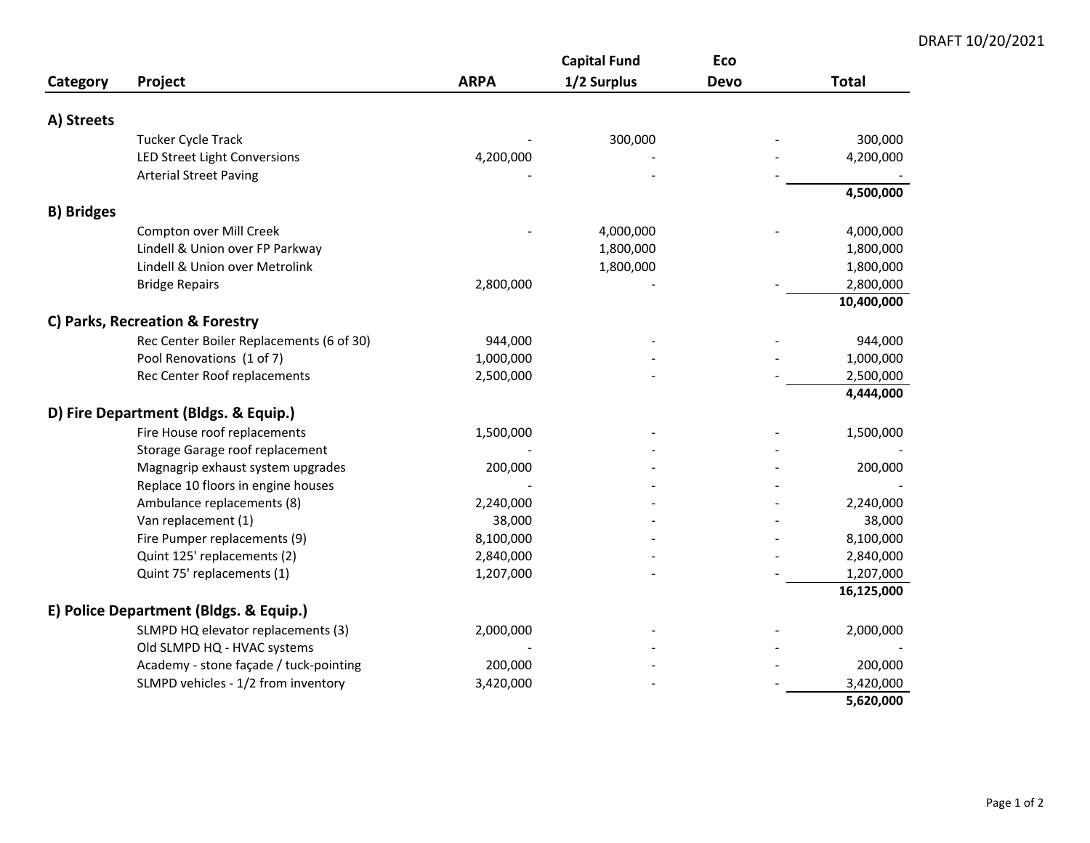## **Capital Fund Eco Category Project ARPA 1/2 Surplus Devo Total A) Streets** Tucker Cycle Track ‐ ‐ 300,000 300,000 LED Street Light Conversions 4,200,000 ‐ ‐ 4,200,000 Arterial Street Paving ‐ ‐ ‐ ‐ **4,500,000 B) Bridges** Compton over Mill Creek ‐ ‐ 4,000,000 4,000,000 Lindell & Union over FP Parkway 1,800,000 1,800,000 Lindell & Union over Metrolink 1,800,000 1,800,000 Bridge Repairs ‐ 2,800,000 ‐ 2,800,000 **10,400,000 C) Parks, Recreation & Forestry** Rec Center Boiler Replacements (6 of 30) 944,000 ‐ ‐ 944,000 Pool Renovations (1 of 7) 1,000,000 ‐ ‐ 1,000,000 Rec Center Roof replacements 2,500,000 2,500,000 **4,444,000 D) Fire Department (Bldgs. & Equip.)** Fire House roof replacements 1,500,000 ‐ ‐ 1,500,000 Storage Garage roof replacement Magnagrip exhaust system upgrades 200,000 ‐ ‐ 200,000 Replace 10 floors in engine houses Ambulance replacements (8) 2,240,000 ‐ ‐ 2,240,000 Van replacement (1) 38,000 ‐ ‐ 38,000 Fire Pumper replacements (9) 8,100,000 ‐ ‐ 8,100,000 Quint 125' replacements (2) 2,840,000 ‐ ‐ 2,840,000 Quint 75' replacements (1) 1,207,000 ‐ ‐ 1,207,000 **16,125,000 E) Police Department (Bldgs. & Equip.)** SLMPD HQ elevator replacements (3) 2,000,000 ‐ ‐ 2,000,000 Old SLMPD HQ ‐ HVAC systems ‐ ‐ ‐ ‐ Academy ‐ stone façade / tuck‐pointing 200,000 ‐ ‐ 200,000 SLMPD vehicles ‐ 1/2 from inventory 3,420,000 ‐ ‐ 3,420,000

## DRAFT 10/20/2021

**5,620,000**